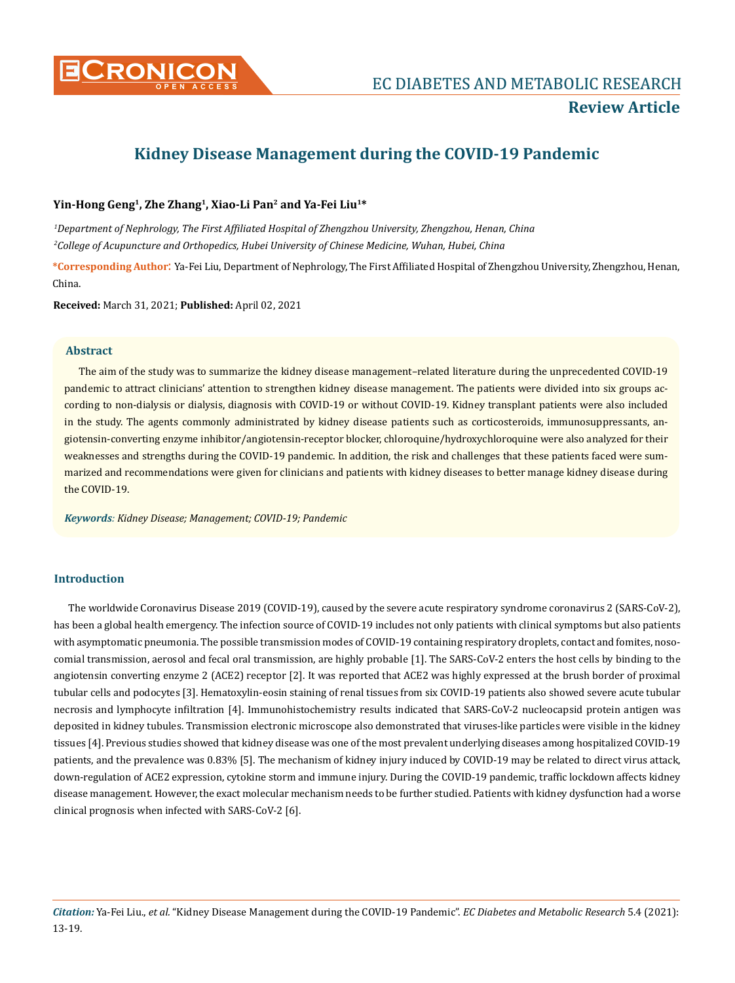

# **Kidney Disease Management during the COVID-19 Pandemic**

# **Yin-Hong Geng1, Zhe Zhang1, Xiao-Li Pan2 and Ya-Fei Liu1\***

*1 Department of Nephrology, The First Affiliated Hospital of Zhengzhou University, Zhengzhou, Henan, China 2 College of Acupuncture and Orthopedics, Hubei University of Chinese Medicine, Wuhan, Hubei, China*

**\*Corresponding Author**: Ya-Fei Liu, Department of Nephrology, The First Affiliated Hospital of Zhengzhou University, Zhengzhou, Henan, China.

**Received:** March 31, 2021; **Published:** April 02, 2021

## **Abstract**

The aim of the study was to summarize the kidney disease management–related literature during the unprecedented COVID-19 pandemic to attract clinicians' attention to strengthen kidney disease management. The patients were divided into six groups according to non-dialysis or dialysis, diagnosis with COVID-19 or without COVID-19. Kidney transplant patients were also included in the study. The agents commonly administrated by kidney disease patients such as corticosteroids, immunosuppressants, angiotensin-converting enzyme inhibitor/angiotensin-receptor blocker, chloroquine/hydroxychloroquine were also analyzed for their weaknesses and strengths during the COVID-19 pandemic. In addition, the risk and challenges that these patients faced were summarized and recommendations were given for clinicians and patients with kidney diseases to better manage kidney disease during the COVID-19.

*Keywords: Kidney Disease; Management; COVID-19; Pandemic*

# **Introduction**

The worldwide Coronavirus Disease 2019 (COVID-19), caused by the severe acute respiratory syndrome coronavirus 2 (SARS-CoV-2), has been a global health emergency. The infection source of COVID-19 includes not only patients with clinical symptoms but also patients with asymptomatic pneumonia. The possible transmission modes of COVID-19 containing respiratory droplets, contact and fomites, nosocomial transmission, aerosol and fecal oral transmission, are highly probable [1]. The SARS-CoV-2 enters the host cells by binding to the angiotensin converting enzyme 2 (ACE2) receptor [2]. It was reported that ACE2 was highly expressed at the brush border of proximal tubular cells and podocytes [3]. Hematoxylin-eosin staining of renal tissues from six COVID-19 patients also showed severe acute tubular necrosis and lymphocyte infiltration [4]. Immunohistochemistry results indicated that SARS-CoV-2 nucleocapsid protein antigen was deposited in kidney tubules. Transmission electronic microscope also demonstrated that viruses-like particles were visible in the kidney tissues [4]. Previous studies showed that kidney disease was one of the most prevalent underlying diseases among hospitalized COVID-19 patients, and the prevalence was 0.83% [5]. The mechanism of kidney injury induced by COVID-19 may be related to direct virus attack, down-regulation of ACE2 expression, cytokine storm and immune injury. During the COVID-19 pandemic, traffic lockdown affects kidney disease management. However, the exact molecular mechanism needs to be further studied. Patients with kidney dysfunction had a worse clinical prognosis when infected with SARS-CoV-2 [6].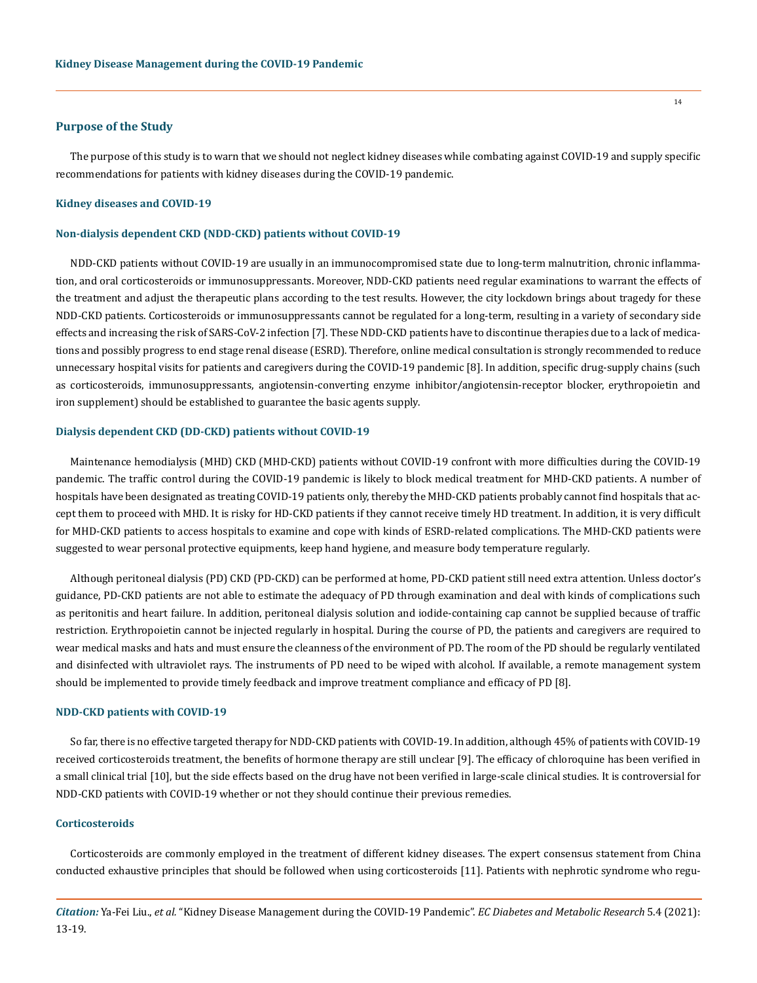## **Purpose of the Study**

The purpose of this study is to warn that we should not neglect kidney diseases while combating against COVID-19 and supply specific recommendations for patients with kidney diseases during the COVID-19 pandemic.

# **Kidney diseases and COVID-19**

#### **Non-dialysis dependent CKD (NDD-CKD) patients without COVID-19**

NDD-CKD patients without COVID-19 are usually in an immunocompromised state due to long-term malnutrition, chronic inflammation, and oral corticosteroids or immunosuppressants. Moreover, NDD-CKD patients need regular examinations to warrant the effects of the treatment and adjust the therapeutic plans according to the test results. However, the city lockdown brings about tragedy for these NDD-CKD patients. Corticosteroids or immunosuppressants cannot be regulated for a long-term, resulting in a variety of secondary side effects and increasing the risk of SARS-CoV-2 infection [7]. These NDD-CKD patients have to discontinue therapies due to a lack of medications and possibly progress to end stage renal disease (ESRD). Therefore, online medical consultation is strongly recommended to reduce unnecessary hospital visits for patients and caregivers during the COVID-19 pandemic [8]. In addition, specific drug-supply chains (such as corticosteroids, immunosuppressants, angiotensin-converting enzyme inhibitor/angiotensin-receptor blocker, erythropoietin and iron supplement) should be established to guarantee the basic agents supply.

## **Dialysis dependent CKD (DD-CKD) patients without COVID-19**

Maintenance hemodialysis (MHD) CKD (MHD-CKD) patients without COVID-19 confront with more difficulties during the COVID-19 pandemic. The traffic control during the COVID-19 pandemic is likely to block medical treatment for MHD-CKD patients. A number of hospitals have been designated as treating COVID-19 patients only, thereby the MHD-CKD patients probably cannot find hospitals that accept them to proceed with MHD. It is risky for HD-CKD patients if they cannot receive timely HD treatment. In addition, it is very difficult for MHD-CKD patients to access hospitals to examine and cope with kinds of ESRD-related complications. The MHD-CKD patients were suggested to wear personal protective equipments, keep hand hygiene, and measure body temperature regularly.

Although peritoneal dialysis (PD) CKD (PD-CKD) can be performed at home, PD-CKD patient still need extra attention. Unless doctor's guidance, PD-CKD patients are not able to estimate the adequacy of PD through examination and deal with kinds of complications such as peritonitis and heart failure. In addition, peritoneal dialysis solution and iodide-containing cap cannot be supplied because of traffic restriction. Erythropoietin cannot be injected regularly in hospital. During the course of PD, the patients and caregivers are required to wear medical masks and hats and must ensure the cleanness of the environment of PD. The room of the PD should be regularly ventilated and disinfected with ultraviolet rays. The instruments of PD need to be wiped with alcohol. If available, a remote management system should be implemented to provide timely feedback and improve treatment compliance and efficacy of PD [8].

## **NDD-CKD patients with COVID-19**

So far, there is no effective targeted therapy for NDD-CKD patients with COVID-19. In addition, although 45% of patients with COVID-19 received corticosteroids treatment, the benefits of hormone therapy are still unclear [9]. The efficacy of chloroquine has been verified in a small clinical trial [10], but the side effects based on the drug have not been verified in large-scale clinical studies. It is controversial for NDD-CKD patients with COVID-19 whether or not they should continue their previous remedies.

# **Corticosteroids**

Corticosteroids are commonly employed in the treatment of different kidney diseases. The expert consensus statement from China conducted exhaustive principles that should be followed when using corticosteroids [11]. Patients with nephrotic syndrome who regu-

*Citation:* Ya-Fei Liu., *et al.* "Kidney Disease Management during the COVID-19 Pandemic". *EC Diabetes and Metabolic Research* 5.4 (2021): 13-19.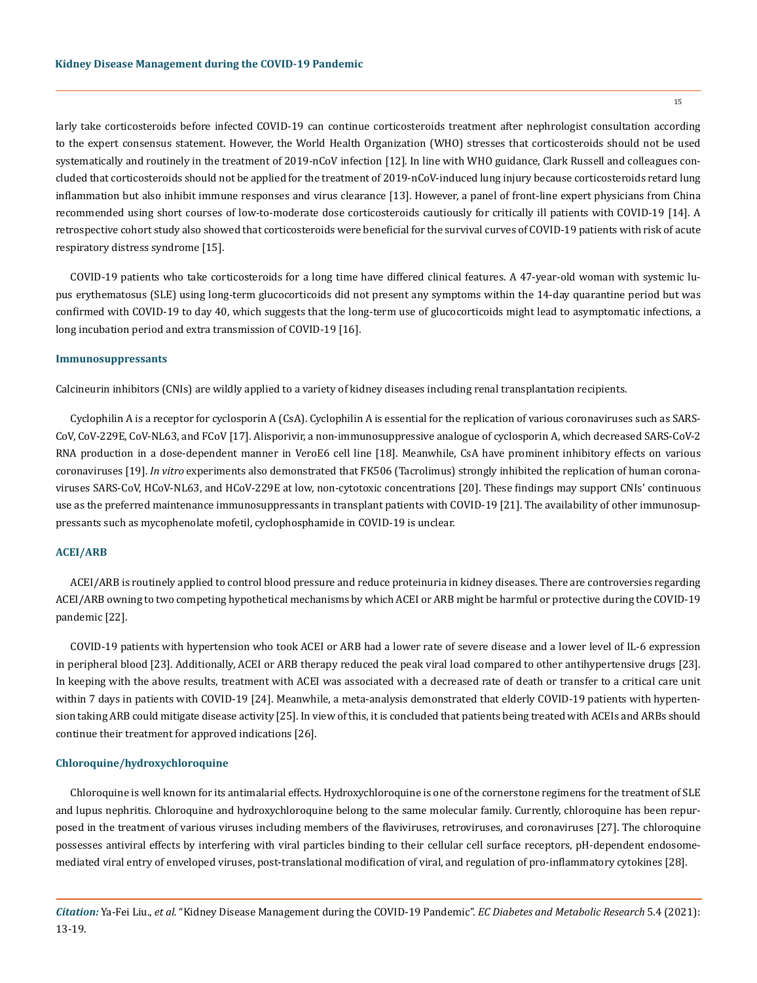larly take corticosteroids before infected COVID-19 can continue corticosteroids treatment after nephrologist consultation according to the expert consensus statement. However, the World Health Organization (WHO) stresses that corticosteroids should not be used systematically and routinely in the treatment of 2019-nCoV infection [12]. In line with WHO guidance, Clark Russell and colleagues concluded that corticosteroids should not be applied for the treatment of 2019-nCoV-induced lung injury because corticosteroids retard lung inflammation but also inhibit immune responses and virus clearance [13]. However, a panel of front-line expert physicians from China recommended using short courses of low-to-moderate dose corticosteroids cautiously for critically ill patients with COVID-19 [14]. A retrospective cohort study also showed that corticosteroids were beneficial for the survival curves of COVID-19 patients with risk of acute respiratory distress syndrome [15].

COVID-19 patients who take corticosteroids for a long time have differed clinical features. A 47-year-old woman with systemic lupus erythematosus (SLE) using long-term glucocorticoids did not present any symptoms within the 14-day quarantine period but was confirmed with COVID-19 to day 40, which suggests that the long-term use of glucocorticoids might lead to asymptomatic infections, a long incubation period and extra transmission of COVID-19 [16].

#### **Immunosuppressants**

Calcineurin inhibitors (CNIs) are wildly applied to a variety of kidney diseases including renal transplantation recipients.

Cyclophilin A is a receptor for cyclosporin A (CsA). Cyclophilin A is essential for the replication of various coronaviruses such as SARS-CoV, CoV-229E, CoV-NL63, and FCoV [17]. Alisporivir, a non-immunosuppressive analogue of cyclosporin A, which decreased SARS-CoV-2 RNA production in a dose-dependent manner in VeroE6 cell line [18]. Meanwhile, CsA have prominent inhibitory effects on various coronaviruses [19]. *In vitro* experiments also demonstrated that FK506 (Tacrolimus) strongly inhibited the replication of human coronaviruses SARS-CoV, HCoV-NL63, and HCoV-229E at low, non-cytotoxic concentrations [20]. These findings may support CNIs' continuous use as the preferred maintenance immunosuppressants in transplant patients with COVID-19 [21]. The availability of other immunosuppressants such as mycophenolate mofetil, cyclophosphamide in COVID-19 is unclear.

## **ACEI/ARB**

ACEI/ARB is routinely applied to control blood pressure and reduce proteinuria in kidney diseases. There are controversies regarding ACEI/ARB owning to two competing hypothetical mechanisms by which ACEI or ARB might be harmful or protective during the COVID-19 pandemic [22].

COVID-19 patients with hypertension who took ACEI or ARB had a lower rate of severe disease and a lower level of IL-6 expression in peripheral blood [23]. Additionally, ACEI or ARB therapy reduced the peak viral load compared to other antihypertensive drugs [23]. In keeping with the above results, treatment with ACEI was associated with a decreased rate of death or transfer to a critical care unit within 7 days in patients with COVID-19 [24]. Meanwhile, a meta-analysis demonstrated that elderly COVID-19 patients with hypertension taking ARB could mitigate disease activity [25]. In view of this, it is concluded that patients being treated with ACEIs and ARBs should continue their treatment for approved indications [26].

## **Chloroquine/hydroxychloroquine**

Chloroquine is well known for its antimalarial effects. Hydroxychloroquine is one of the cornerstone regimens for the treatment of SLE and lupus nephritis. Chloroquine and hydroxychloroquine belong to the same molecular family. Currently, chloroquine has been repurposed in the treatment of various viruses including members of the flaviviruses, retroviruses, and coronaviruses [27]. The chloroquine possesses antiviral effects by interfering with viral particles binding to their cellular cell surface receptors, pH-dependent endosomemediated viral entry of enveloped viruses, post-translational modification of viral, and regulation of pro-inflammatory cytokines [28].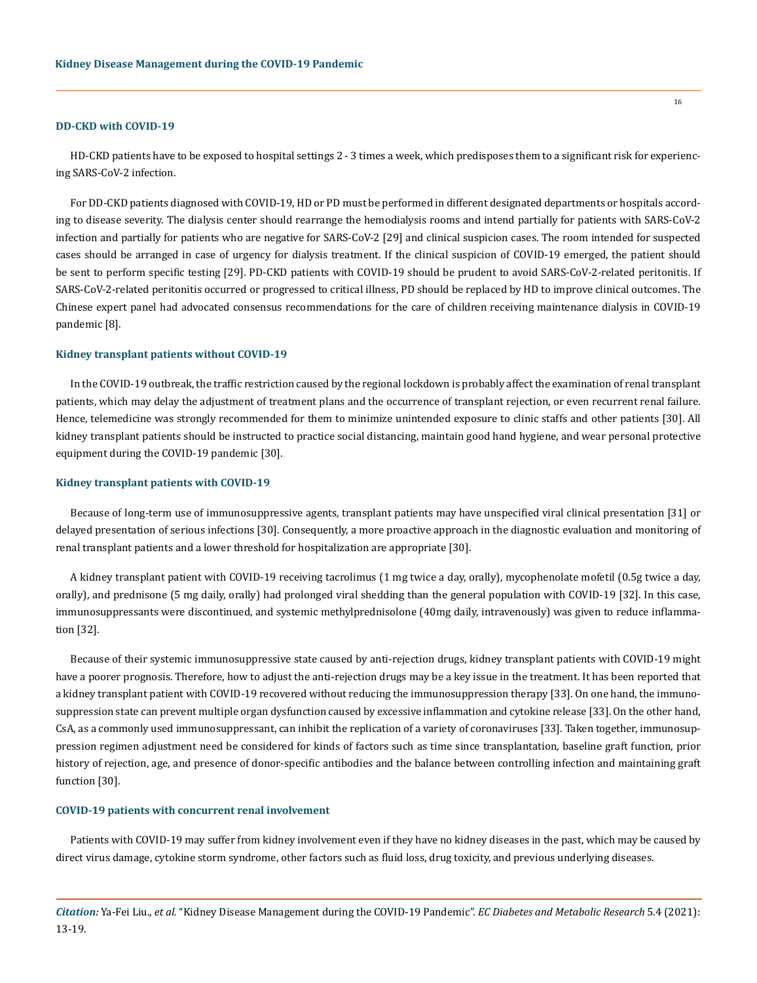## **DD-CKD with COVID-19**

HD-CKD patients have to be exposed to hospital settings 2 - 3 times a week, which predisposes them to a significant risk for experiencing SARS-CoV-2 infection.

For DD-CKD patients diagnosed with COVID-19, HD or PD must be performed in different designated departments or hospitals according to disease severity. The dialysis center should rearrange the hemodialysis rooms and intend partially for patients with SARS-CoV-2 infection and partially for patients who are negative for SARS-CoV-2 [29] and clinical suspicion cases. The room intended for suspected cases should be arranged in case of urgency for dialysis treatment. If the clinical suspicion of COVID-19 emerged, the patient should be sent to perform specific testing [29]. PD-CKD patients with COVID-19 should be prudent to avoid SARS-CoV-2-related peritonitis. If SARS-CoV-2-related peritonitis occurred or progressed to critical illness, PD should be replaced by HD to improve clinical outcomes. The Chinese expert panel had advocated consensus recommendations for the care of children receiving maintenance dialysis in COVID-19 pandemic [8].

## **Kidney transplant patients without COVID-19**

In the COVID-19 outbreak, the traffic restriction caused by the regional lockdown is probably affect the examination of renal transplant patients, which may delay the adjustment of treatment plans and the occurrence of transplant rejection, or even recurrent renal failure. Hence, telemedicine was strongly recommended for them to minimize unintended exposure to clinic staffs and other patients [30]. All kidney transplant patients should be instructed to practice social distancing, maintain good hand hygiene, and wear personal protective equipment during the COVID-19 pandemic [30].

## **Kidney transplant patients with COVID-19**

Because of long-term use of immunosuppressive agents, transplant patients may have unspecified viral clinical presentation [31] or delayed presentation of serious infections [30]. Consequently, a more proactive approach in the diagnostic evaluation and monitoring of renal transplant patients and a lower threshold for hospitalization are appropriate [30].

A kidney transplant patient with COVID-19 receiving tacrolimus (1 mg twice a day, orally), mycophenolate mofetil (0.5g twice a day, orally), and prednisone (5 mg daily, orally) had prolonged viral shedding than the general population with COVID-19 [32]. In this case, immunosuppressants were discontinued, and systemic methylprednisolone (40mg daily, intravenously) was given to reduce inflammation [32].

Because of their systemic immunosuppressive state caused by anti-rejection drugs, kidney transplant patients with COVID-19 might have a poorer prognosis. Therefore, how to adjust the anti-rejection drugs may be a key issue in the treatment. It has been reported that a kidney transplant patient with COVID-19 recovered without reducing the immunosuppression therapy [33]. On one hand, the immunosuppression state can prevent multiple organ dysfunction caused by excessive inflammation and cytokine release [33]. On the other hand, CsA, as a commonly used immunosuppressant, can inhibit the replication of a variety of coronaviruses [33]. Taken together, immunosuppression regimen adjustment need be considered for kinds of factors such as time since transplantation, baseline graft function, prior history of rejection, age, and presence of donor-specific antibodies and the balance between controlling infection and maintaining graft function [30].

#### **COVID-19 patients with concurrent renal involvement**

Patients with COVID-19 may suffer from kidney involvement even if they have no kidney diseases in the past, which may be caused by direct virus damage, cytokine storm syndrome, other factors such as fluid loss, drug toxicity, and previous underlying diseases.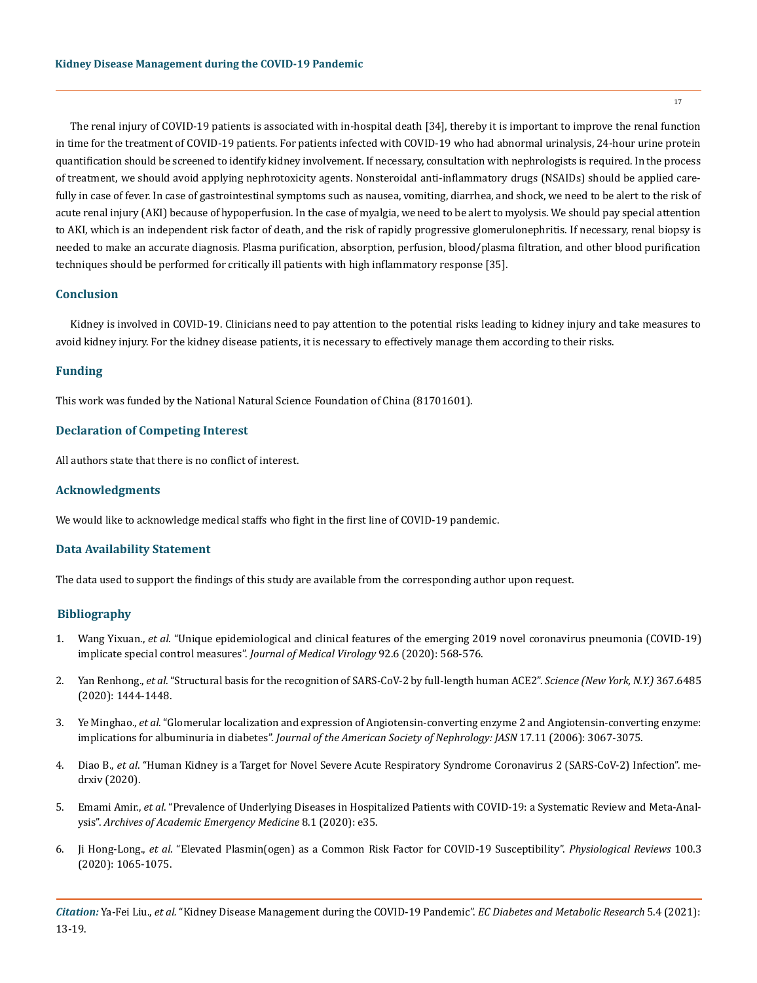The renal injury of COVID-19 patients is associated with in-hospital death [34], thereby it is important to improve the renal function in time for the treatment of COVID-19 patients. For patients infected with COVID-19 who had abnormal urinalysis, 24-hour urine protein quantification should be screened to identify kidney involvement. If necessary, consultation with nephrologists is required. In the process of treatment, we should avoid applying nephrotoxicity agents. Nonsteroidal anti-inflammatory drugs (NSAIDs) should be applied carefully in case of fever. In case of gastrointestinal symptoms such as nausea, vomiting, diarrhea, and shock, we need to be alert to the risk of acute renal injury (AKI) because of hypoperfusion. In the case of myalgia, we need to be alert to myolysis. We should pay special attention to AKI, which is an independent risk factor of death, and the risk of rapidly progressive glomerulonephritis. If necessary, renal biopsy is needed to make an accurate diagnosis. Plasma purification, absorption, perfusion, blood/plasma filtration, and other blood purification techniques should be performed for critically ill patients with high inflammatory response [35].

## **Conclusion**

Kidney is involved in COVID-19. Clinicians need to pay attention to the potential risks leading to kidney injury and take measures to avoid kidney injury. For the kidney disease patients, it is necessary to effectively manage them according to their risks.

## **Funding**

This work was funded by the National Natural Science Foundation of China (81701601).

## **Declaration of Competing Interest**

All authors state that there is no conflict of interest.

# **Acknowledgments**

We would like to acknowledge medical staffs who fight in the first line of COVID-19 pandemic.

## **Data Availability Statement**

The data used to support the findings of this study are available from the corresponding author upon request.

## **Bibliography**

- 1. Wang Yixuan., *et al*[. "Unique epidemiological and clinical features of the emerging 2019 novel coronavirus pneumonia \(COVID-19\)](https://pubmed.ncbi.nlm.nih.gov/32134116/) [implicate special control measures".](https://pubmed.ncbi.nlm.nih.gov/32134116/) *Journal of Medical Virology* 92.6 (2020): 568-576.
- 2. Yan Renhong., *et al*[. "Structural basis for the recognition of SARS-CoV-2 by full-length human ACE2".](https://pubmed.ncbi.nlm.nih.gov/32132184/) *Science (New York, N.Y.)* 367.6485 [\(2020\): 1444-1448.](https://pubmed.ncbi.nlm.nih.gov/32132184/)
- 3. Ye Minghao., *et al*[. "Glomerular localization and expression of Angiotensin-converting enzyme 2 and Angiotensin-converting enzyme:](https://pubmed.ncbi.nlm.nih.gov/17021266/) implications for albuminuria in diabetes". *[Journal of the American Society of Nephrology: JASN](https://pubmed.ncbi.nlm.nih.gov/17021266/)* 17.11 (2006): 3067-3075.
- 4. Diao B., *et al*[. "Human Kidney is a Target for Novel Severe Acute Respiratory Syndrome Coronavirus 2 \(SARS-CoV-2\) Infection". me](https://www.medrxiv.org/content/10.1101/2020.03.04.20031120v4)[drxiv \(2020\).](https://www.medrxiv.org/content/10.1101/2020.03.04.20031120v4)
- 5. Emami Amir., *et al*[. "Prevalence of Underlying Diseases in Hospitalized Patients with COVID-19: a Systematic Review and Meta-Anal](https://pubmed.ncbi.nlm.nih.gov/32232218/)ysis". *[Archives of Academic Emergency Medicine](https://pubmed.ncbi.nlm.nih.gov/32232218/)* 8.1 (2020): e35.
- 6. Ji Hong-Long., *et al*[. "Elevated Plasmin\(ogen\) as a Common Risk Factor for COVID-19 Susceptibility".](https://pubmed.ncbi.nlm.nih.gov/32216698/) *Physiological Reviews* 100.3 [\(2020\): 1065-1075.](https://pubmed.ncbi.nlm.nih.gov/32216698/)

*Citation:* Ya-Fei Liu., *et al.* "Kidney Disease Management during the COVID-19 Pandemic". *EC Diabetes and Metabolic Research* 5.4 (2021): 13-19.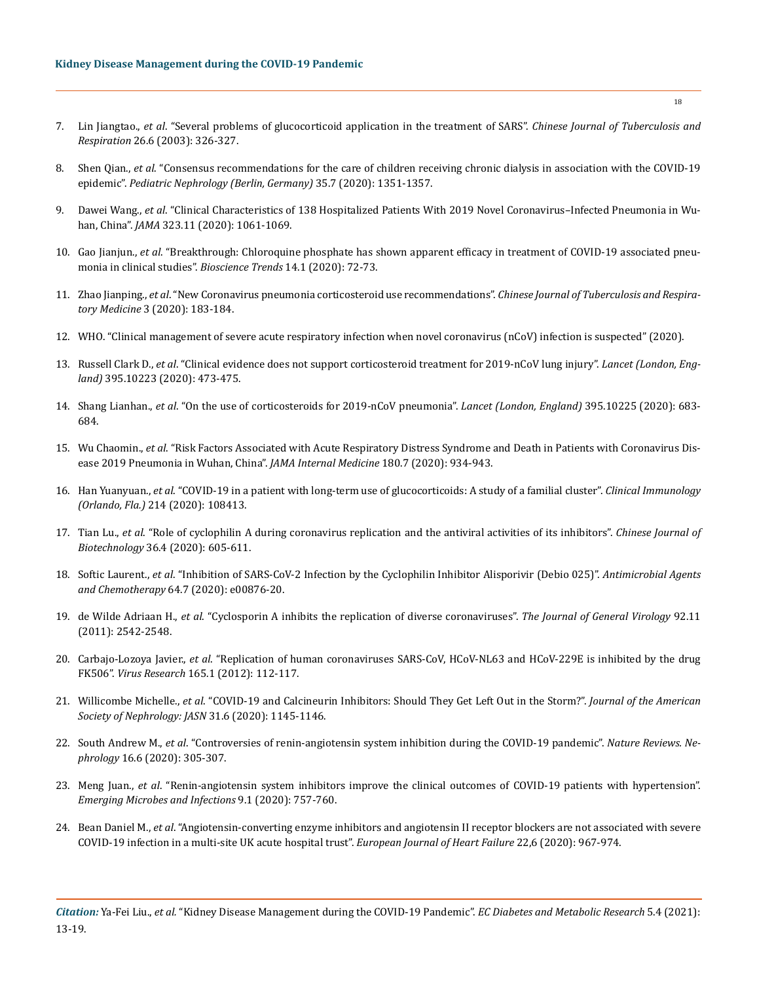- 7. Lin Jiangtao., *et al*[. "Several problems of glucocorticoid application in the treatment of SARS".](https://kns.cnki.net/kcms/detail/detail.aspx?dbcode=CJFD&dbname=CJFD2003&filename=ZHJH200306003&v=y9gIc1Fq%25mmd2F%25mmd2FoXIbB1NQKUvFpU8Pu7nf%25mmd2Fs%25mmd2FjrRgsM6olGsrS%25mmd2Bj82L%25mmd2BATkiNOd%25mmd2BHxOc) *Chinese Journal of Tuberculosis and Respiration* [26.6 \(2003\): 326-327.](https://kns.cnki.net/kcms/detail/detail.aspx?dbcode=CJFD&dbname=CJFD2003&filename=ZHJH200306003&v=y9gIc1Fq%25mmd2F%25mmd2FoXIbB1NQKUvFpU8Pu7nf%25mmd2Fs%25mmd2FjrRgsM6olGsrS%25mmd2Bj82L%25mmd2BATkiNOd%25mmd2BHxOc)
- 8. Shen Qian., *et al*[. "Consensus recommendations for the care of children receiving chronic dialysis in association with the COVID-19](https://pubmed.ncbi.nlm.nih.gov/32333285/)  epidemic". *[Pediatric Nephrology \(Berlin, Germany\)](https://pubmed.ncbi.nlm.nih.gov/32333285/)* 35.7 (2020): 1351-1357.
- 9. Dawei Wang., *et al*[. "Clinical Characteristics of 138 Hospitalized Patients With 2019 Novel Coronavirus–Infected Pneumonia in Wu](https://pubmed.ncbi.nlm.nih.gov/32031570/)han, China". *JAMA* [323.11 \(2020\): 1061-1069.](https://pubmed.ncbi.nlm.nih.gov/32031570/)
- 10. Gao Jianjun., *et al*[. "Breakthrough: Chloroquine phosphate has shown apparent efficacy in treatment of COVID-19 associated pneu](https://pubmed.ncbi.nlm.nih.gov/32074550/)[monia in clinical studies".](https://pubmed.ncbi.nlm.nih.gov/32074550/) *Bioscience Trends* 14.1 (2020): 72-73.
- 11. Zhao Jianping., *et al*[. "New Coronavirus pneumonia corticosteroid use recommendations".](http://h-s.kns.cnki.net.zzulib.vpn358.com/kcms/detail/detail.aspx?dbcode=CJFD&dbname=CJFDZHYX&filename=ZHJH202003008&v=cuUHRFmzFixCTP3OFuYwLsKZ%25mmd2BVQZDhnVE92vASXxm%25mmd2FvQnuotg8FpqC5Voqu5Sk7h) *Chinese Journal of Tuberculosis and Respiratory Medicine* [3 \(2020\): 183-184.](http://h-s.kns.cnki.net.zzulib.vpn358.com/kcms/detail/detail.aspx?dbcode=CJFD&dbname=CJFDZHYX&filename=ZHJH202003008&v=cuUHRFmzFixCTP3OFuYwLsKZ%25mmd2BVQZDhnVE92vASXxm%25mmd2FvQnuotg8FpqC5Voqu5Sk7h)
- 12. [WHO. "Clinical management of severe acute respiratory infection when novel coronavirus \(nCoV\) infection is suspected" \(2020\).](https://www.who.int/internal-publications-detail/clinicalmanagement-of-severe-acute-respiratory-infection-when-novelcoronavirus-(ncov)-infection-is-suspected)
- 13. Russell Clark D., *et al*[. "Clinical evidence does not support corticosteroid treatment for 2019-nCoV lung injury".](https://pubmed.ncbi.nlm.nih.gov/32043983/) *Lancet (London, England)* [395.10223 \(2020\): 473-475.](https://pubmed.ncbi.nlm.nih.gov/32043983/)
- 14. Shang Lianhan., *et al*[. "On the use of corticosteroids for 2019-nCoV pneumonia".](https://pubmed.ncbi.nlm.nih.gov/32122468/) *Lancet (London, England)* 395.10225 (2020): 683- [684.](https://pubmed.ncbi.nlm.nih.gov/32122468/)
- 15. Wu Chaomin., *et al*[. "Risk Factors Associated with Acute Respiratory Distress Syndrome and Death in Patients with Coronavirus Dis](https://pubmed.ncbi.nlm.nih.gov/32167524/)[ease 2019 Pneumonia in Wuhan, China".](https://pubmed.ncbi.nlm.nih.gov/32167524/) *JAMA Internal Medicine* 180.7 (2020): 934-943.
- 16. Han Yuanyuan., *et al*[. "COVID-19 in a patient with long-term use of glucocorticoids: A study of a familial cluster".](https://pubmed.ncbi.nlm.nih.gov/32276139/) *Clinical Immunology (Orlando, Fla.)* [214 \(2020\): 108413.](https://pubmed.ncbi.nlm.nih.gov/32276139/)
- 17. Tian Lu., *et al*[. "Role of cyclophilin A during coronavirus replication and the antiviral activities of its inhibitors".](https://pubmed.ncbi.nlm.nih.gov/32347055/) *Chinese Journal of Biotechnology* [36.4 \(2020\): 605-611.](https://pubmed.ncbi.nlm.nih.gov/32347055/)
- 18. Softic Laurent., *et al*[. "Inhibition of SARS-CoV-2 Infection by the Cyclophilin Inhibitor Alisporivir \(Debio 025\)".](https://pubmed.ncbi.nlm.nih.gov/32376613/) *Antimicrobial Agents and Chemotherapy* [64.7 \(2020\): e00876-20.](https://pubmed.ncbi.nlm.nih.gov/32376613/)
- 19. de Wilde Adriaan H., *et al*[. "Cyclosporin A inhibits the replication of diverse coronaviruses".](https://pubmed.ncbi.nlm.nih.gov/21752960/) *The Journal of General Virology* 92.11 [\(2011\): 2542-2548.](https://pubmed.ncbi.nlm.nih.gov/21752960/)
- 20. Carbajo-Lozoya Javier., *et al*[. "Replication of human coronaviruses SARS-CoV, HCoV-NL63 and HCoV-229E is inhibited by the drug](https://pubmed.ncbi.nlm.nih.gov/22349148/)  FK506". *Virus Research* [165.1 \(2012\): 112-117.](https://pubmed.ncbi.nlm.nih.gov/22349148/)
- 21. Willicombe Michelle., *et al*[. "COVID-19 and Calcineurin Inhibitors: Should They Get Left Out in the Storm?".](https://pubmed.ncbi.nlm.nih.gov/32312797/) *Journal of the American [Society of Nephrology: JASN](https://pubmed.ncbi.nlm.nih.gov/32312797/)* 31.6 (2020): 1145-1146.
- 22. South Andrew M., *et al*[. "Controversies of renin-angiotensin system inhibition during the COVID-19 pandemic".](https://pubmed.ncbi.nlm.nih.gov/32246101/) *Nature Reviews. Nephrology* [16.6 \(2020\): 305-307.](https://pubmed.ncbi.nlm.nih.gov/32246101/)
- 23. Meng Juan., *et al*[. "Renin-angiotensin system inhibitors improve the clinical outcomes of COVID-19 patients with hypertension".](https://pubmed.ncbi.nlm.nih.gov/32228222/)  *[Emerging Microbes and Infections](https://pubmed.ncbi.nlm.nih.gov/32228222/)* 9.1 (2020): 757-760.
- 24. Bean Daniel M., *et al*[. "Angiotensin-converting enzyme inhibitors and angiotensin II receptor blockers are not associated with severe](https://pubmed.ncbi.nlm.nih.gov/32485082)  [COVID-19 infection in a multi-site UK acute hospital trust".](https://pubmed.ncbi.nlm.nih.gov/32485082) *European Journal of Heart Failure* 22,6 (2020): 967-974.